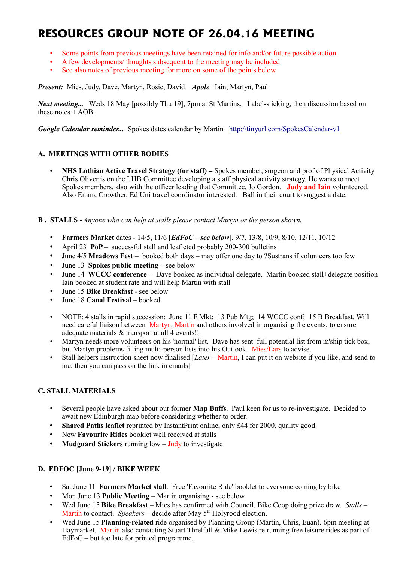# **RESOURCES GROUP NOTE OF 26.04.16 MEETING**

- Some points from previous meetings have been retained for info and/or future possible action
- A few developments/ thoughts subsequent to the meeting may be included
- See also notes of previous meeting for more on some of the points below

*Present:* Mies, Judy, Dave, Martyn, Rosie, David *Apols*: Iain, Martyn, Paul

*Next meeting...* Weds 18 May [possibly Thu 19], 7pm at St Martins. Label-sticking, then discussion based on these notes + AOB.

*Google Calendar reminder...* Spokes dates calendar by Martin <http://tinyurl.com/SpokesCalendar-v1>

# **A. MEETINGS WITH OTHER BODIES**

• **NHS Lothian Active Travel Strategy (for staff) –** Spokes member, surgeon and prof of Physical Activity Chris Oliver is on the LHB Committee developing a staff physical activity strategy. He wants to meet Spokes members, also with the officer leading that Committee, Jo Gordon. **Judy and Iain** volunteered. Also Emma Crowther, Ed Uni travel coordinator interested. Ball in their court to suggest a date.

#### **B . STALLS** - *Anyone who can help at stalls please contact Martyn or the person shown.*

- **Farmers Market** dates 14/5, 11/6 [*EdFoC see below*], 9/7, 13/8, 10/9, 8/10, 12/11, 10/12
- April 23 **PoP** successful stall and leafleted probably 200-300 bulletins
- June 4/5 **Meadows Fest** booked both days may offer one day to ?Sustrans if volunteers too few
- June 13 **Spokes public meeting** see below
- June 14 **WCCC conference** Dave booked as individual delegate. Martin booked stall+delegate position Iain booked at student rate and will help Martin with stall
- June 15 **Bike Breakfast** see below
- June 18 **Canal Festival** booked
- NOTE: 4 stalls in rapid succession: June 11 F Mkt; 13 Pub Mtg; 14 WCCC conf; 15 B Breakfast. Will need careful liaison between Martyn, Martin and others involved in organising the events, to ensure adequate materials & transport at all 4 events!!
- Martyn needs more volunteers on his 'normal' list. Dave has sent full potential list from m'ship tick box, but Martyn problems fitting multi-person lists into his Outlook. Mies/Lars to advise.
- Stall helpers instruction sheet now finalised [*Later* Martin, I can put it on website if you like, and send to me, then you can pass on the link in emails]

# **C. STALL MATERIALS**

- Several people have asked about our former **Map Buffs**. Paul keen for us to re-investigate. Decided to await new Edinburgh map before considering whether to order.
- **Shared Paths leaflet** reprinted by InstantPrint online, only £44 for 2000, quality good.
- New **Favourite Rides** booklet well received at stalls
- **Mudguard Stickers** running low Judy to investigate

# **D. EDFOC [June 9-19] / BIKE WEEK**

- Sat June 11 **Farmers Market stall**. Free 'Favourite Ride' booklet to everyone coming by bike
- Mon June 13 **Public Meeting** Martin organising see below
- Wed June 15 **Bike Breakfast** Mies has confirmed with Council. Bike Coop doing prize draw. *Stalls* Martin to contact. *Speakers* – decide after May 5<sup>th</sup> Holyrood election.
- Wed June 15 P**lanning-related** ride organised by Planning Group (Martin, Chris, Euan). 6pm meeting at Haymarket. Martin also contacting Stuart Threlfall & Mike Lewis re running free leisure rides as part of EdFoC – but too late for printed programme.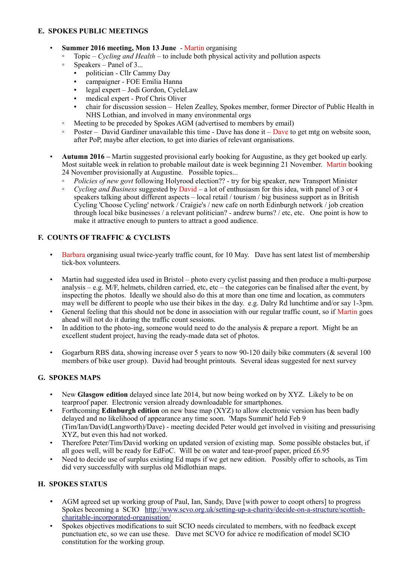# **E. SPOKES PUBLIC MEETINGS**

- **Summer 2016 meeting, Mon 13 June** Martin organising
	- Topic *Cycling and Health* to include both physical activity and pollution aspects
	- Speakers Panel of 3...
		- politician Cllr Cammy Day
		- campaigner FOE Emilia Hanna
		- legal expert Jodi Gordon, CycleLaw
		- medical expert Prof Chris Oliver
		- chair for discussion session Helen Zealley, Spokes member, former Director of Public Health in NHS Lothian, and involved in many environmental orgs
	- Meeting to be preceded by Spokes AGM (advertised to members by email)
	- Poster David Gardiner unavailable this time Dave has done it Dave to get mtg on website soon, after PoP, maybe after election, to get into diaries of relevant organisations.
- **Autumn 2016 –** Martin suggested provisional early booking for Augustine, as they get booked up early. Most suitable week in relation to probable mailout date is week beginning 21 November. Martin booking 24 November provisionally at Augustine. Possible topics...
	- *Policies of new govt* following Holyrood election?? try for big speaker, new Transport Minister
	- *Cycling and Business* suggested by David a lot of enthusiasm for this idea, with panel of 3 or 4 speakers talking about different aspects – local retail / tourism / big business support as in British Cycling 'Choose Cycling' network / Craigie's / new cafe on north Edinburgh network / job creation through local bike businesses / a relevant politician? - andrew burns? / etc, etc. One point is how to make it attractive enough to punters to attract a good audience.

# **F. COUNTS OF TRAFFIC & CYCLISTS**

- Barbara organising usual twice-yearly traffic count, for 10 May. Dave has sent latest list of membership tick-box volunteers.
- Martin had suggested idea used in Bristol photo every cyclist passing and then produce a multi-purpose analysis – e.g. M/F, helmets, children carried, etc, etc – the categories can be finalised after the event, by inspecting the photos. Ideally we should also do this at more than one time and location, as commuters may well be different to people who use their bikes in the day. e.g. Dalry Rd lunchtime and/or say 1-3pm.
- General feeling that this should not be done in association with our regular traffic count, so if Martin goes ahead will not do it during the traffic count sessions.
- In addition to the photo-ing, someone would need to do the analysis  $\&$  prepare a report. Might be an excellent student project, having the ready-made data set of photos.
- Gogarburn RBS data, showing increase over 5 years to now 90-120 daily bike commuters (& several 100 members of bike user group). David had brought printouts. Several ideas suggested for next survey

# **G. SPOKES MAPS**

- New **Glasgow edition** delayed since late 2014, but now being worked on by XYZ. Likely to be on tearproof paper. Electronic version already downloadable for smartphones.
- Forthcoming **Edinburgh edition** on new base map (XYZ) to allow electronic version has been badly delayed and no likelihood of appearance any time soon. 'Maps Summit' held Feb 9 (Tim/Ian/David(Langworth)/Dave) - meeting decided Peter would get involved in visiting and pressurising XYZ, but even this had not worked.
- Therefore Peter/Tim/David working on updated version of existing map. Some possible obstacles but, if all goes well, will be ready for EdFoC. Will be on water and tear-proof paper, priced £6.95
- Need to decide use of surplus existing Ed maps if we get new edition. Possibly offer to schools, as Tim did very successfully with surplus old Midlothian maps.

# **H. SPOKES STATUS**

- AGM agreed set up working group of Paul, Ian, Sandy, Dave [with power to coopt others] to progress Spokes becoming a SCIO [http://www.scvo.org.uk/setting-up-a-charity/decide-on-a-structure/scottish](http://www.scvo.org.uk/setting-up-a-charity/decide-on-a-structure/scottish-charitable-incorporated-organisation/)[charitable-incorporated-organisation/](http://www.scvo.org.uk/setting-up-a-charity/decide-on-a-structure/scottish-charitable-incorporated-organisation/)
- Spokes objectives modifications to suit SCIO needs circulated to members, with no feedback except punctuation etc, so we can use these. Dave met SCVO for advice re modification of model SCIO constitution for the working group.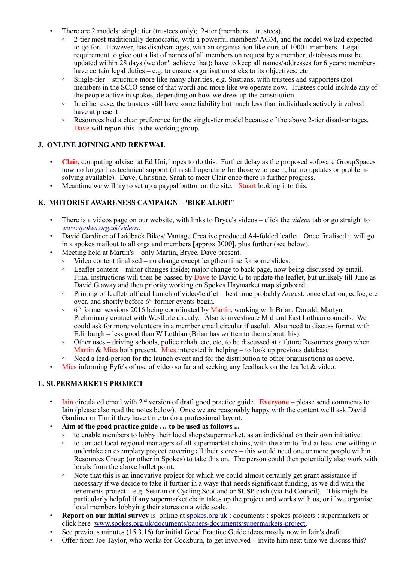- There are 2 models: single tier (trustees only); 2-tier (members + trustees).
	- 2-tier most traditionally democratic, with a powerful members' AGM, and the model we had expected to go for. However, has disadvantages, with an organisation like ours of 1000+ members. Legal requirement to give out a list of names of all members on request by a member; databases must be updated within 28 days (we don't achieve that); have to keep all names/addresses for 6 years; members have certain legal duties – e.g. to ensure organisation sticks to its objectives; etc.
	- Single-tier structure more like many charities, e.g. Sustrans, with trustees and supporters (not members in the SCIO sense of that word) and more like we operate now. Trustees could include any of the people active in spokes, depending on how we drew up the constitution.
	- In either case, the trustees still have some liability but much less than individuals actively involved have at present
	- Resources had a clear preference for the single-tier model because of the above 2-tier disadvantages. Dave will report this to the working group.

#### **J. ONLINE JOINING AND RENEWAL**

- **Clair**, computing adviser at Ed Uni, hopes to do this. Further delay as the proposed software GroupSpaces now no longer has technical support (it is still operating for those who use it, but no updates or problemsolving available). Dave, Christine, Sarah to meet Clair once there is further progress.
- Meantime we will try to set up a paypal button on the site. Stuart looking into this.

# **K. MOTORIST AWARENESS CAMPAIGN – 'BIKE ALERT'**

- There is a videos page on our website, with links to Bryce's videos click the *videos* tab or go straight to *[www.spokes.org.uk/videos](http://www.spokes.org.uk/videos)*.
- David Gardiner of Laidback Bikes/ Vantage Creative produced A4-folded leaflet. Once finalised it will go in a spokes mailout to all orgs and members [approx 3000], plus further (see below).
- Meeting held at Martin's only Martin, Bryce, Dave present.
	- Video content finalised no change except lengthen time for some slides.
	- Leaflet content minor changes inside; major change to back page, now being discussed by email. Final instructions will then be passed by Dave to David G to update the leaflet, but unlikely till June as David G away and then priority working on Spokes Haymarket map signboard.
	- Printing of leaflet/ official launch of video/leaflet best time probably August, once election, edfoc, etc over, and shortly before 6<sup>th</sup> former events begin.
	- ∘ 6<sup>th</sup> former sessions 2016 being coordinated by Martin, working with Brian, Donald, Martyn. Preliminary contact with WestLife already. Also to investigate Mid and East Lothian councils. We could ask for more volunteers in a member email circular if useful. Also need to discuss format with Edinburgh – less good than W Lothian (Brian has written to them about this).
	- Other uses driving schools, police rehab, etc, etc, to be discussed at a future Resources group when Martin  $\&$  Mies both present. Mies interested in helping – to look up previous database
	- Need a lead-person for the launch event and for the distribution to other organisations as above.
- Mies informing Fyfe's of use of video so far and seeking any feedback on the leaflet & video.

# **L. SUPERMARKETS PROJECT**

- Iain circulated email with 2<sup>nd</sup> version of draft good practice guide. **Everyone** please send comments to Iain (please also read the notes below). Once we are reasonably happy with the content we'll ask David Gardiner or Tim if they have time to do a professional layout.
- **Aim of the good practice guide … to be used as follows ...**
	- to enable members to lobby their local shops/supermarket, as an individual on their own initiative.
	- to contact local regional managers of all supermarket chains, with the aim to find at least one willing to undertake an exemplary project covering all their stores – this would need one or more people within Resources Group (or other in Spokes) to take this on. The person could then potentially also work with locals from the above bullet point.
	- Note that this is an innovative project for which we could almost certainly get grant assistance if necessary if we decide to take it further in a ways that needs significant funding, as we did with the tenements project – e.g. Sestran or Cycling Scotland or SCSP cash (via Ed Council). This might be particularly helpful if any supermarket chain takes up the project and works with us, or if we organise local members lobbying their stores on a wide scale.
- **Report on our initial survey** is online at [spokes.org.uk](http://spokes.org.uk/) : documents : spokes projects : supermarkets or click here [www.spokes.org.uk/documents/papers-documents/supermarkets-project.](http://www.spokes.org.uk/documents/papers-documents/supermarkets-project)
- See previous minutes (15.3.16) for initial Good Practice Guide ideas, mostly now in Iain's draft.
- Offer from Joe Taylor, who works for Cockburn, to get involved invite him next time we discuss this?